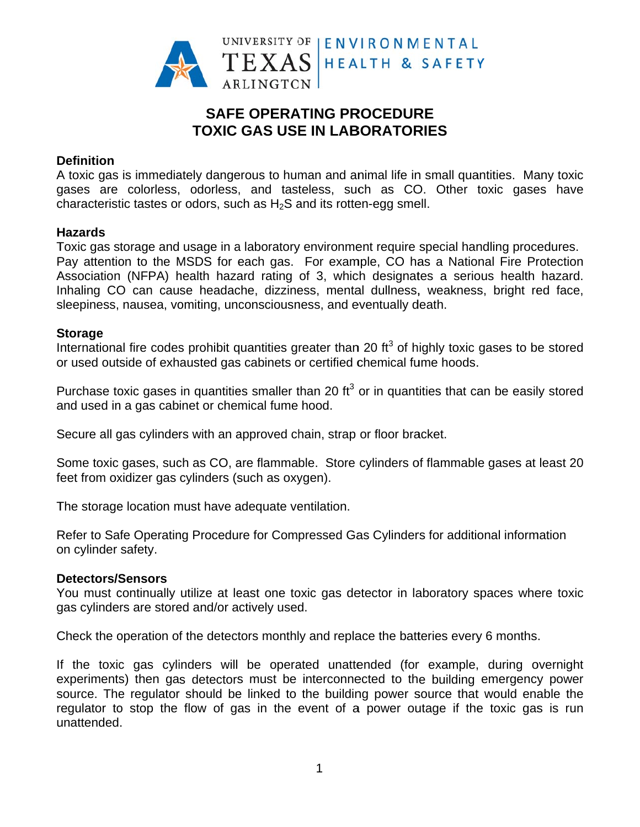

# **SAFE OPERATING PROCEDURE TOXIC GAS USE IN LABORATORIES**

# **Definition**

A toxic gas is immediately dangerous to human and animal life in small quantities. Many toxic gases are colorless, odorless, and tasteless, such as CO. Other toxic gases have characteristic tastes or odors, such as H<sub>2</sub>S and its rotten-egg smell.

## **Hazards**

Toxic gas storage and usage in a laboratory environment require special handling procedures. Pay attention to the MSDS for each gas. For example, CO has a National Fire Protection Association (NFPA) health hazard rating of 3, which designates a serious health hazard. Inhaling CO can cause headache, dizziness, mental dullness, weakness, bright red face, sleepiness, nausea, vomiting, unconsciousness, and eventually death.

## **Storage**

International fire codes prohibit quantities greater than 20 ft<sup>3</sup> of highly toxic gases to be stored or used outside of exhausted gas cabinets or certified chemical fume hoods.

Purchase toxic gases in quantities smaller than 20  $\text{ft}^3$  or in quantities that can be easily stored and used in a gas cabinet or chemical fume hood.

Secure all gas cylinders with an approved chain, strap or floor bracket.

Some toxic gases, such as CO, are flammable. Store cylinders of flammable gases at least 20 feet from oxidizer gas cylinders (such as oxygen).

The storage location must have adequate ventilation.

Refer to Safe Operating Procedure for Compressed Gas Cylinders for additional information on cylinder safety.

#### **Detectors/Sensors**

You must continually utilize at least one toxic gas detector in laboratory spaces where toxic gas cylinders are stored and/or actively used.

Check the operation of the detectors monthly and replace the batteries every 6 months.

If the toxic gas cylinders will be operated unattended (for example, during overnight experiments) then gas detectors must be interconnected to the building emergency power source. The regulator should be linked to the building power source that would enable the regulator to stop the flow of gas in the event of a power outage if the toxic gas is run unattended.